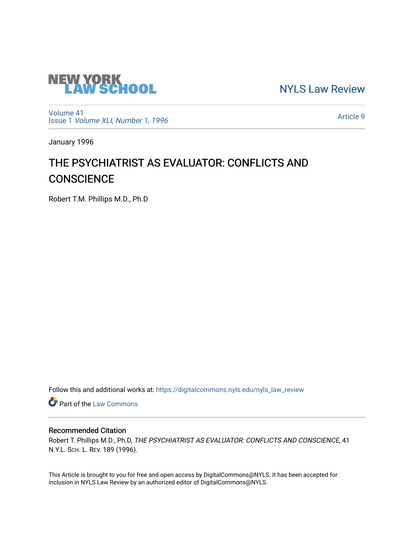

[NYLS Law Review](https://digitalcommons.nyls.edu/nyls_law_review) 

[Volume 41](https://digitalcommons.nyls.edu/nyls_law_review/vol41) Issue 1 [Volume XLI, Number 1, 1996](https://digitalcommons.nyls.edu/nyls_law_review/vol41/iss1)

[Article 9](https://digitalcommons.nyls.edu/nyls_law_review/vol41/iss1/9) 

January 1996

## THE PSYCHIATRIST AS EVALUATOR: CONFLICTS AND **CONSCIENCE**

Robert T.M. Phillips M.D., Ph.D

Follow this and additional works at: [https://digitalcommons.nyls.edu/nyls\\_law\\_review](https://digitalcommons.nyls.edu/nyls_law_review?utm_source=digitalcommons.nyls.edu%2Fnyls_law_review%2Fvol41%2Fiss1%2F9&utm_medium=PDF&utm_campaign=PDFCoverPages) 

**Part of the [Law Commons](https://network.bepress.com/hgg/discipline/578?utm_source=digitalcommons.nyls.edu%2Fnyls_law_review%2Fvol41%2Fiss1%2F9&utm_medium=PDF&utm_campaign=PDFCoverPages)** 

## Recommended Citation

Robert T. Phillips M.D., Ph.D, THE PSYCHIATRIST AS EVALUATOR: CONFLICTS AND CONSCIENCE, 41 N.Y.L. SCH. L. REV. 189 (1996).

This Article is brought to you for free and open access by DigitalCommons@NYLS. It has been accepted for inclusion in NYLS Law Review by an authorized editor of DigitalCommons@NYLS.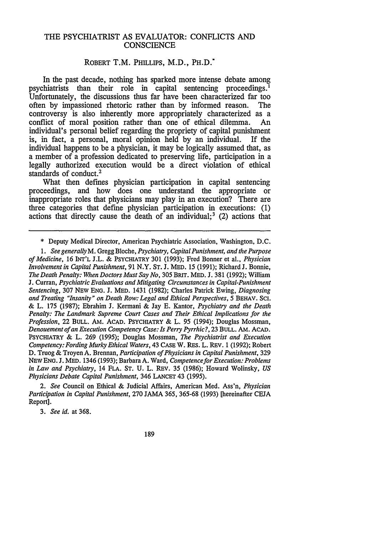## THE PSYCHIATRIST **AS EVALUATOR:** CONFLICTS **AND CONSCIENCE**

## ROBERT T.M. PHILLIPS, M.D., PH.D.\*

In the past decade, nothing has sparked more intense debate among psychiatrists than their role in capital sentencing proceedings.' Unfortunately, the discussions thus far have been characterized far too often by impassioned rhetoric rather than by informed reason. The often by impassioned rhetoric rather than by informed reason. controversy is also inherently more appropriately characterized as a conflict of moral position rather than one of ethical dilemma. An individual's personal belief regarding the propriety of capital punishment is, in fact, a personal, moral opinion held **by** an individual. If the individual happens to be a physician, it may be logically assumed that, as a member of a profession dedicated to preserving life, participation in a legally authorized execution would be a direct violation of ethical standards of conduct.<sup>2</sup>

What then defines physician participation in capital sentencing proceedings, and how does one understand the appropriate or inappropriate roles that physicians may play in an execution? There are three categories that define physician participation in executions: **(1)** actions that directly cause the death of an individual;<sup>3</sup> (2) actions that

*2. See* Council on Ethical **&** Judicial Affairs, American Med. Ass'n, *Physician Participation in Capital Punishment,* **270 JAMA 365, 365-68 (1993)** [hereinafter **CEJA** Report].

*3. See id.* at **368.**

**<sup>\*</sup>** Deputy Medical Director, American Psychiatric Association, Washington, **D.C.**

*<sup>1.</sup> See generally* M. Gregg Bloche, *Psychiatry, Capital Punishment, and the Purpose of Medicine,* **16** INT'L **J.L. & PSYCHIATRY 301 (1993);** Fred Bonner et al., *Physician Involvement in Capital Punishment,* **91** N.Y. **ST. J.** MED. **15 (1991);** Richard **J.** Bonnie, *The Death Penalty: When Doctors Must Say No,* **305 BRIT.** MED. **J. 381 (1992);** William **J.** Curran, *Psychiatric Evaluations and Mitigating Circumstances in Capital-Punishment Sentencing,* **307 NEw ENG. J.** MED. 1431 **(1982);** Charles Patrick Ewing, *Diagnosing and Treating "Insanity" on Death Row: Legal and Ethical Perspectives, 5* **BEHAV.** SCI. **&** L. **175 (1987);** Ebrahim **J.** Kermani **&** Jay **E.** Kantor, *Psychiatry and the Death Penalty: The Landmark Supreme Court Cases and Their Ethical Implications for the Profession,* 22 BULL. AM. **ACAD.** PSYCHIATRY **&** L. **95** (1994); Douglas Mossman, *Denouement of an Execution Competency Case: Is Perry Pyrrhic?,* **23 BULL. AM. ACAD. PSYCHIATRY &** L. **269 (1995);** Douglas Mossman, *The Psychiatrist and Execution Competency: Fording Murky Ethical Waters,* 43 **CASE** W. RES. L. REV. **1 (1992);** Robert **D.** Truog **&** Troyen **A.** Brennan, *Participation of Physicians in Capital Punishment,* **329 NEW ENG. J.** MED. 1346 **(1993);** Barbara **A.** Ward, *Competencefor Execution: Problems in Law and Psychiatry,* 14 **FLA. ST. U.** L. REv. **35 (1986);** Howard Wolinsky, *US Physicians Debate Capital Punishment,* 346 **LANCET** 43 **(1995).**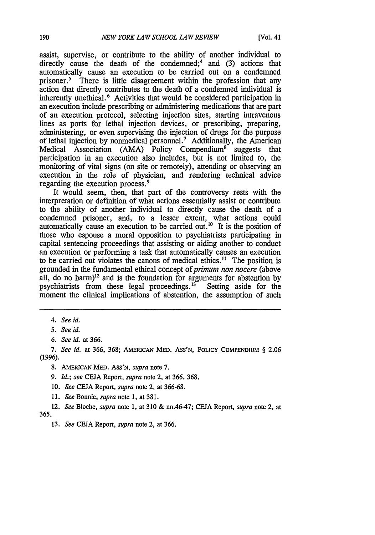assist, supervise, or contribute to the ability of another individual to directly cause the death of the condemned;<sup>4</sup> and  $(3)$  actions that automatically cause an execution to be carried out on a condemned prisoner.5 There is little disagreement within the profession that any action that directly contributes to the death of a condemned individual is inherently unethical. 6 Activities that would be considered participation in an execution include prescribing or administering medications that are part of an execution protocol, selecting injection sites, starting intravenous lines as ports for lethal injection devices, or prescribing, preparing, administering, or even supervising the injection of drugs for the purpose of lethal injection by nonmedical personnel.<sup>7</sup> Additionally, the American Medical Association (AMA) Policy Compendium<sup>8</sup> suggests that participation in an execution also includes, but is not limited to, the monitoring of vital signs (on site or remotely), attending or observing an execution in the role of physician, and rendering technical advice regarding the execution process.<sup>9</sup>

It would seem, then, that part of the controversy rests with the interpretation or definition of what actions essentially assist or contribute to the ability of another individual to directly cause the death of a condemned prisoner, and, to a lesser extent, what actions could automatically cause an execution to be carried out.<sup>10</sup> It is the position of those who espouse a moral opposition to psychiatrists participating in capital sentencing proceedings that assisting or aiding another to conduct an execution or performing a task that automatically causes an execution to be carried out violates the canons of medical ethics."I The position is grounded in the fundamental ethical concept of *primum non nocere* (above all, do no harm)<sup>12</sup> and is the foundation for arguments for abstention by psychiatrists from these legal proceedings.<sup>13</sup> Setting aside for the moment the clinical implications of abstention, the assumption of such

*6. See id. at* 366.

*7. See id.* at 366, 368; **AMERICAN MED.** ASS'N, POLICY **COMPENDIUM** § **2.06** (1996).

8. **AMERICAN** MED. Ass'N, *supra* note 7.

*9. Id.; see* CEJA Report, *supra* note 2, at 366, 368.

10. *See* **CEJA** Report, *supra* note 2, at 366-68.

11. *See* Bonnie, *supra* note 1, at 381.

12. *See* Bloche, *supra* note 1, at 310 & nn.46-47; CEJA Report, *supra* note 2, at 365.

13. *See* CEJA Report, *supra* note 2, at 366.

<sup>4.</sup> *See id.*

*<sup>5.</sup> See id.*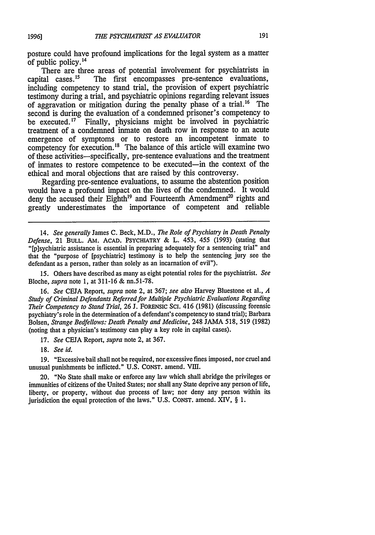posture could have profound implications for the legal system as a matter of public policy.<sup>14</sup>

There are three areas of potential involvement for psychiatrists in capital cases.<sup>15</sup> The first encompasses pre-sentence evaluations. The first encompasses pre-sentence evaluations, including competency to stand trial, the provision of expert psychiatric testimony during a trial, and psychiatric opinions regarding relevant issues of aggravation or mitigation during the penalty phase of a trial.<sup>16</sup> The second is during the evaluation of a condemned prisoner's competency to be executed.<sup>17</sup> Finally, physicians might be involved in psychiatric treatment of a condemned inmate on death row in response to an acute emergence of symptoms or to restore an incompetent inmate to competency for execution.<sup>18</sup> The balance of this article will examine two of these activities-specifically, pre-sentence evaluations and the treatment of inmates to restore competence to be executed-in the context of the ethical and moral objections that are raised by this controversy.

Regarding pre-sentence evaluations, to assume the abstention position would have a profound impact on the lives of the condemned. It would deny the accused their Eighth<sup>19</sup> and Fourteenth Amendment<sup>20</sup> rights and greatly underestimates the importance of competent and reliable

14. *See generally* James C. Beck, M.D., *The Role of Psychiatry in Death Penalty Defense,* 21 **BULL.** AM. ACAD. PSYCHIATRY & L. 453, 455 (1993) (stating that "[pisychiatric assistance is essential in preparing adequately for a sentencing trial" and that the "purpose of [psychiatric] testimony is to help the sentencing jury see the defendant as a person, rather than solely as an incarnation of evil").

**15.** Others have described as many as eight potential roles for the psychiatrist. *See* Bloche, *supra* note **1,** at 311-16 & nn.51-78.

**16.** *See* CEJA Report, *supra* note 2, at **367;** *see also* Harvey Bluestone et al., *A Study of Criminal Defendants Referred for Multiple Psychiatric Evaluations Regarding Their Competency to Stand Trial,* 26 **J.** FORENSIC Sci. 416 (1981) (discussing forensic psychiatry's role in the determination of a defendant's competency to stand trial); Barbara Bolsen, *Strange Bedfellows: Death Penalty and Medicine,* 248 JAMA **518,** 519 (1982) (noting that a physician's testimony can play a key role in capital cases).

17. *See* CEJA Report, *supra* note 2, at 367.

18. *See id.*

19. "Excessive bail shall not be required, nor excessive fines imposed, nor cruel and unusual punishments be inflicted." U.S. CONST. amend. VIII.

20. "No State shall make or enforce any law which shall abridge the privileges or immunities of citizens of the United States; nor shall any State deprive any person of life, liberty, or property, without due process of law; nor deny any person within its jurisdiction the equal protection of the laws." U.S. CONST. amend. XIV, § 1.

191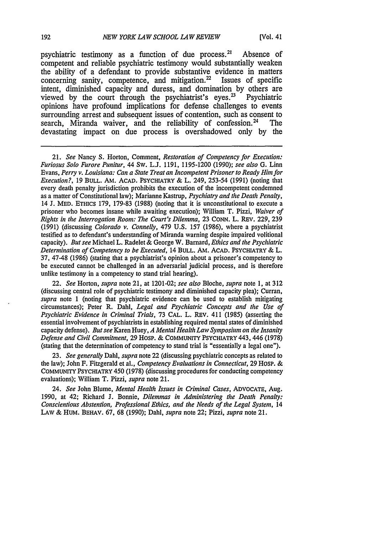psychiatric testimony as a function of due process.<sup>21</sup> Absence of competent and reliable psychiatric testimony would substantially weaken the ability of a defendant to provide substantive evidence in matters concerning sanity, competence, and mitigation.<sup>22</sup> Issues of specific concerning sanity, competence, and mitigation. $2^2$ intent, diminished capacity and duress, and domination by others are viewed by the court through the psychiatrist's eyes.<sup>23</sup> Psychiatric viewed by the court through the psychiatrist's eyes. $2^3$ opinions have profound implications for defense challenges to events surrounding arrest and subsequent issues of contention, such as consent to search, Miranda waiver, and the reliability of confession.<sup>24</sup> The devastating impact on due process is overshadowed only by the

22. *See* Horton, *supra* note 21, at 1201-02; *see also* Bloche, *supra* note 1, at 312 (discussing central role of psychiatric testimony and diminished capacity plea); Curran, *supra* note 1 (noting that psychiatric evidence can be used to establish mitigating circumstances); Peter R. Dahl, *Legal and Psychiatric Concepts and the Use of Psychiatric Evidence in Criminal Trials,* **73** CAL. L. REV. 411 (1985) (asserting the essential involvement of psychiatrists in establishing required mental states of diminished capacity defense). *But see* Karen Huey, *A Mental Health Law Symposium on the Insanity Defense and Civil Commitment,* 29 Hosp. & COMMUNITY PSYCHIATRY 443, 446 (1978) (stating that the determination of competency to stand trial is "essentially a legal one").

23. *See generally* Dahl, supra note 22 (discussing psychiatric concepts as related to the law); John F. Fitzgerald et al., *Competency Evaluations in Connecticut,* 29 Hosp. & COMMUNITY PSYCHIATRY 450 (1978) (discussing procedures for conducting competency evaluations); William T. Pizzi, *supra* note 21.

24. *See* John Blume, *Mental Health Issues in Criminal Cases,* **ADVOCATE,** Aug. 1990, at 42; Richard J. Bonnie, *Dilemmas in Administering the Death Penalty: Conscientious Abstention, Professional Ethics, and the Needs of the Legal System,* 14 LAW & HUM. BEHAv. **67,** 68 (1990); Dahl, supra note 22; Pizzi, *supra* note 21.

<sup>21.</sup> *See* Nancy S. Horton, Comment, *Restoration of Competency for Execution:* Furiosus Solo Furore Punitur, 44 Sw. L.J. 1191, 1195-1200 (1990); see also G. Linn Evans, *Perry v. Louisiana: Can a State Treat an Incompetent Prisoner to Ready Him for Execution?,* 19 BULL. AM. ACAD. PSYCHIATRY & L. 249, 253-54 (1991) (noting that every death penalty jurisdiction prohibits the execution of the incompetent condemned as a matter of Constitutional law); Marianne Kastrup, *Psychiatry and the Death Penalty,* 14 J. MED. **ETHICS** 179, 179-83 (1988) (noting that it is unconstitutional to execute a prisoner who becomes insane while awaiting execution); William T. Pizzi, *Waiver of Rights in the Interrogation Room: The Court's Dilemma,* 23 CONN. L. REV. 229, 239 (1991) (discussing Colorado v. Connelly, 479 U.S. 157 (1986), where a psychiatrist testified as to defendant's understanding of Miranda warning despite impaired volitional capacity). But *see* Michael L. Radelet & George W. Barnard, Ethics and the Psychiatric Determination of Competency to be Executed, 14 BULL. **AM. ACAD.** PSYCHIATRY & L. 37, 47-48 (1986) (stating that a psychiatrist's opinion about a prisoner's competency to be executed cannot be challenged in an adversarial judicial process, and is therefore unlike testimony in a competency to stand trial hearing).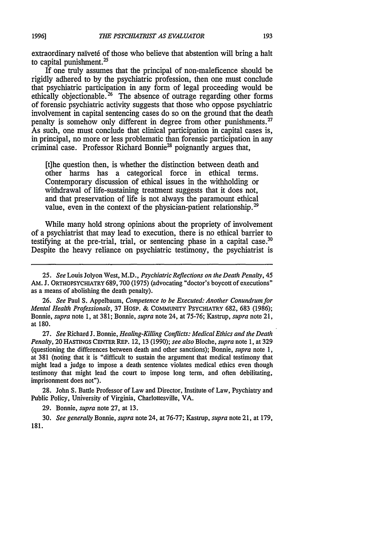extraordinary naïveté of those who believe that abstention will bring a halt to capital punishment. $25$ 

If one truly assumes that the principal of non-maleficence should be rigidly adhered to by the psychiatric profession, then one must conclude that psychiatric participation in any form of legal proceeding would be ethically objectionable.<sup>26</sup> The absence of outrage regarding other forms of forensic psychiatric activity suggests that those who oppose psychiatric involvement in capital sentencing cases do so on the ground that the death penalty is somehow only different in degree from other punishments.<sup>27</sup> As such, one must conclude that clinical participation in capital cases is, in principal, no more or less problematic than forensic participation in any criminal case. Professor Richard Bonnie<sup>28</sup> poignantly argues that,

[t]he question then, is whether the distinction between death and other harms has a categorical force in ethical terms. Contemporary discussion of ethical issues in the withholding or withdrawal of life-sustaining treatment suggests that it does not, and that preservation of life is not always the paramount ethical value, even in the context of the physician-patient relationship.<sup>29</sup>

While many hold strong opinions about the propriety of involvement of a psychiatrist that may lead to execution, there is no ethical barrier to testifying at the pre-trial, trial, or sentencing phase in a capital case.<sup>30</sup> Despite the heavy reliance on psychiatric testimony, the psychiatrist is

25. *See* Louis Jolyon West, M.D., *Psychiatric Reflections on the Death Penalty, 45* AM. J. ORTHOPSYCHIATRY 689,700 (1975) (advocating "doctor's boycott of executions" as a means of abolishing the death penalty).

26. *See* Paul S. Appelbaum, *Competence to be Executed: Another Conundrum for Mental Health Professionals,* 37 Hosp. & COMMUNITY PSYCHIATRY 682, 683 (1986); Bonnie, *supra* note **1,** at 381; Bonnie, *supra* note 24, at 75-76; Kastrup, *supra* note 21, at 180.

27. *See* Richard J. Bonnie, *Healing-Killing Conflicts: Medical Ethics and the Death Penalty,* 20 **HASTINGS CENTER** REP. 12, 13 (1990); *see also* Bloche, *supra* note 1, at 329 (questioning the differences between death and other sanctions); Bonnie, *supra* note 1, at 381 (noting that it is "difficult to sustain the argument that medical testimony that might lead a judge to impose a death sentence violates medical ethics even though testimony that might lead the court to impose long term, and often debilitating, imprisonment does not").

28. John S. Battle Professor of Law and Director, Institute of Law, Psychiatry and Public Policy, University of Virginia, Charlottesville, VA.

29. Bonnie, *supra* note 27, at 13.

30. *See generally* Bonnie, *supra* note 24, at 76-77; Kastrup, *supra* note 21, at 179, 181.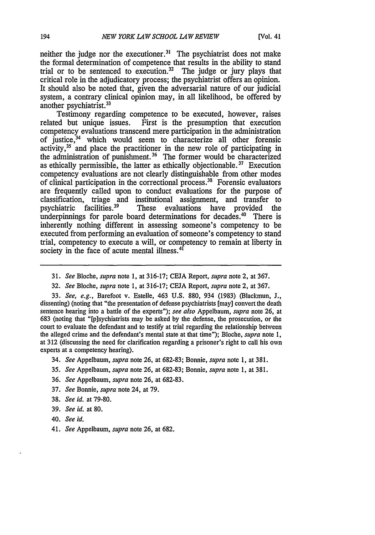neither the judge nor the executioner.<sup>31</sup> The psychiatrist does not make the formal determination of competence that results in the ability to stand trial or to be sentenced to execution.<sup>32</sup> The judge or jury plays that critical role in the adjudicatory process; the psychiatrist offers an opinion. It should also be noted that, given the adversarial nature of our judicial system, a contrary clinical opinion may, in all likelihood, be offered by another psychiatrist.<sup>33</sup>

Testimony regarding competence to be executed, however, raises<br>related but unique issues. First is the presumption that execution First is the presumption that execution competency evaluations transcend mere participation in the administration of justice, $34$  which would seem to characterize all other forensic activity,<sup>35</sup> and place the practitioner in the new role of participating in the administration of punishment.<sup>36</sup> The former would be characterized as ethically permissible, the latter as ethically objectionable.<sup>37</sup> Execution competency evaluations are not clearly distinguishable from other modes of clinical participation in the correctional process.<sup>38</sup> Forensic evaluators are frequently called upon to conduct evaluations for the purpose of classification, triage and institutional assignment, and transfer to psychiatric facilities.<sup>39</sup> These evaluations have provided the These evaluations have provided the underpinnings for parole board determinations for decades.<sup>40</sup> There is inherently nothing different in assessing someone's competency to be executed from performing an evaluation of someone's competency to stand trial, competency to execute a will, or competency to remain at liberty in society in the face of acute mental illness.<sup>41</sup>

- 31. *See* Bloche, *supra* note 1, at 316-17; CEJA Report, *supra* note 2, at 367.
- 32. *See* Bloche, *supra* note 1, at 316-17; CEJA Report, *supra* note 2, at 367.

33. *See, e.g.,* Barefoot v. Estelle, 463 U.S. 880, 934 (1983) (Blackmun, J., dissenting) (noting that "the presentation of defense psychiatrists [may] convert the death sentence hearing into a battle of the experts"); *see also* Appelbaum, *supra* note 26, at 683 (noting that "[p]sychiatrists may be asked by the defense, the prosecution, or the court to evaluate the defendant and to testify at trial regarding the relationship between the alleged crime and the defendant's mental state at that time"); Bloche, *supra* note 1, at 312 (discussing the need for clarification regarding a prisoner's right to call his own experts at a competency hearing).

- 34. *See* Appelbaum, *supra* note 26, at 682-83; Bonnie, *supra* note 1, at 381.
- 35. *See* Appelbaum, *supra* note 26, at 682-83; Bonnie, *supra* note 1, at 381.
- 36. *See* Appelbaum, *supra* note 26, at 682-83.
- 37. *See* Bonnie, *supra* note 24, at 79.
- 38. *See id.* at 79-80.
- 39. *See id.* at 80.
- 40. *See id.*
- 41. *See* Appelbaum, *supra* note 26, at 682.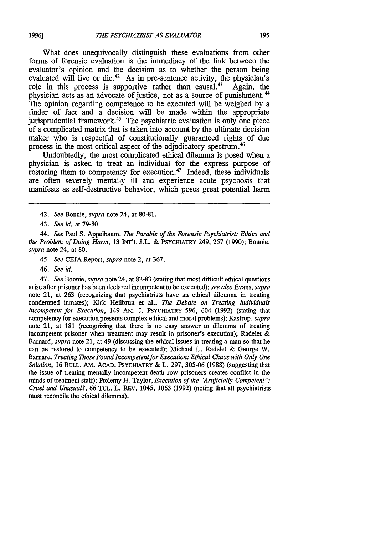What does unequivocally distinguish these evaluations from other forms of forensic evaluation is the immediacy of the link between the evaluator's opinion and the decision as to whether the person being evaluated will live or die.<sup>42</sup> As in pre-sentence activity, the physician's role in this process is supportive rather than causal.<sup>43</sup> Again, the role in this process is supportive rather than causal. $43$ physician acts as an advocate of justice, not as a source of punishment.<sup>44</sup> The opinion regarding competence to be executed will be weighed by a finder of fact and a decision will be made within the appropriate jurisprudential framework.<sup>45</sup> The psychiatric evaluation is only one piece of a complicated matrix that is taken into account by the ultimate decision maker who is respectful of constitutionally guaranteed rights of due process in the most critical aspect of the adjudicatory spectrum.<sup>46</sup>

Undoubtedly, the most complicated ethical dilemma is posed when a physician is asked to treat an individual for the express purpose of restoring them to competency for execution.<sup>47</sup> Indeed, these individuals are often severely mentally ill and experience acute psychosis that manifests as self-destructive behavior, which poses great potential harm

*44. See* Paul S. Appelbaum, *The Parable of the Forensic Psychiatrist: Ethics and the Problem of Doing Harm,* 13 **INT'L J.L.** & PSYCHIATRY 249, 257 (1990); Bonnie, *supra* note 24, at 80.

*45. See* CEJA Report, *supra* note 2, at 367.

*46. See id.*

47. *See* Bonnie, *supra* note 24, at 82-83 (stating that most difficult ethical questions arise after prisoner has been declared incompetent to be executed); *see also* Evans, *supra* note 21, at 263 (recognizing that psychiatrists have an ethical dilemma in treating condemned inmates); Kirk Heilbrun et al., *The Debate on Treating Individuals Incompetent for Execution,* 149 AM. J. PSYCHIATRY 596, 604 (1992) (stating that competency for execution presents complex ethical and moral problems); Kastrup, *supra* note 21, at 181 (recognizing that there is no easy answer to dilemma of treating incompetent prisoner when treatment may result in prisoner's execution); Radelet & Barnard, *supra* note 21, at 49 (discussing the ethical issues in treating a man so that he can be restored to competency to be executed); Michael L. Radelet & George W. Barnard, *Treating Those Found Incompetent for Execution: Ethical Chaos with Only One Solution,* 16 BULL. AM. ACAD. **PSYCHIATRY** & L. 297, 305-06 (1988) (suggesting that the issue of treating mentally incompetent death row prisoners creates conflict in the minds of treatment staff); Ptolemy H. Taylor, *Execution of the "Artificially Competent": Cruel and Unusual?,* 66 TUL. L. REv. 1045, 1063 (1992) (noting that all psychiatrists must reconcile the ethical dilemma).

<sup>42.</sup> *See* Bonnie, *supra* note 24, at 80-81.

<sup>43.</sup> *See id.* at 79-80.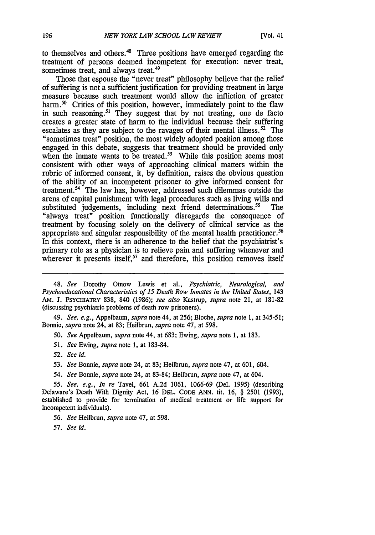to themselves and others. 48 Three positions have emerged regarding the treatment of persons deemed incompetent for execution: never treat, sometimes treat, and always treat.<sup>49</sup>

Those that espouse the "never treat" philosophy believe that the relief of suffering is not a sufficient justification for providing treatment in large measure because such treatment would allow the infliction of greater harm.<sup>50</sup> Critics of this position, however, immediately point to the flaw in such reasoning.<sup>51</sup> They suggest that by not treating, one de facto creates a greater state of harm to the individual because their suffering escalates as they are subject to the ravages of their mental illness.<sup>52</sup> The "sometimes treat" position, the most widely adopted position among those engaged in this debate, suggests that treatment should be provided only when the inmate wants to be treated.<sup>53</sup> While this position seems most consistent with other ways of approaching clinical matters within the rubric of informed consent, it, by definition, raises the obvious question of the ability of an incompetent prisoner to give informed consent for treatment. 54 The law has, however, addressed such dilemmas outside the arena of capital punishment with legal procedures such as living wills and substituted judgements, including next friend determinations.<sup>55</sup> substituted judgements, including next friend determinations.<sup>55</sup> The "always treat" position functionally disregards the consequence of treatment by focusing solely on the delivery of clinical service as the appropriate and singular responsibility of the mental health practitioner.<sup>56</sup> In this context, there is an adherence to the belief that the psychiatrist's primary role as a physician is to relieve pain and suffering whenever and wherever it presents itself,  $57$  and therefore, this position removes itself

48. *See* Dorothy Otnow Lewis et al., *Psychiatric, Neurological, and Psychoeducational Characteristics of 15 Death Row Inmates in the United States,* 143 **AM. J. PSYCHIATRY 838,** 840 **(1986);** *see also* Kastrup, *supra* note 21, at 181-82 (discussing psychiatric problems of death row prisoners).

49. *See, e.g.,* Appelbaum, *supra* note 44, at 256; Bloche, *supra* note 1, at 345-51; Bonnie, *supra* note 24, at 83; Heilbrun, *supra* note 47, at 598.

50. *See* Appelbaum, *supra* note 44, at 683; Ewing, *supra* note **1,** at 183.

- *51. See* Ewing, *supra* note 1, at 183-84.
- 52. *See id.*

53. *See* Bonnie, *supra* note 24, at 83; Heilbrun, *supra* note 47, at 601, 604.

54. *See* Bonnie, *supra* note 24, at 83-84; Heilbrun, *supra* note 47, at 604.

*55. See, e.g., In re* Tavel, 661 A.2d 1061, 1066-69 (Del. 1995) (describing Delaware's Death With Dignity Act, **16** DEL. **CODE ANN. tit.** 16, § **2501** (1993), established to provide for termination of medical treatment or life support for incompetent individuals).

*56. See* Heilbrun, *supra* note 47, at 598.

*57. See id.*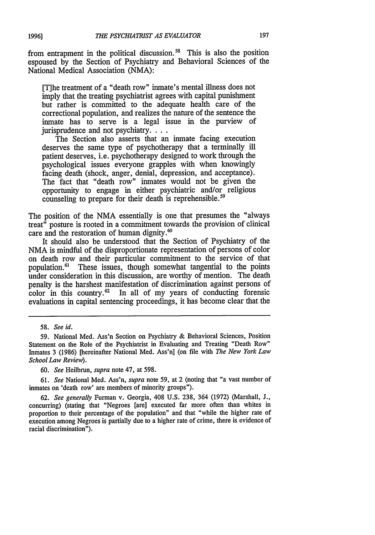from entrapment in the political discussion.<sup>58</sup> This is also the position espoused by the Section of Psychiatry and Behavioral Sciences of the National Medical Association (NMA):

[Tihe treatment of a "death row" inmate's mental illness does not imply that the treating psychiatrist agrees with capital punishment but rather is committed to the adequate health care of the correctional population, and realizes the nature of the sentence the inmate has to serve is a legal issue in the purview of jurisprudence and not psychiatry. . . .

The Section also asserts that an inmate facing execution deserves the same type of psychotherapy that a terminally ill patient deserves, i.e. psychotherapy designed to work through the psychological issues everyone grapples with when knowingly facing death (shock, anger, denial, depression, and acceptance). The fact that "death row" inmates would not be given the opportunity to engage in either psychiatric and/or religious counseling to prepare for their death is reprehensible.<sup>59</sup>

The position of the NMA essentially is one that presumes the "always treat" posture is rooted in a commitment towards the provision of clinical care and the restoration of human dignity.<sup>60</sup>

It should also be understood that the Section of Psychiatry of the NMA is mindful of the disproportionate representation of persons of color on death row and their particular commitment to the service of that population.6' These issues, though somewhat tangential to the points under consideration in this discussion, are worthy of mention. The death penalty is the harshest manifestation of discrimination against persons of color in this country. $62$  In all of my years of conducting forensic evaluations in capital sentencing proceedings, it has become clear that the

60. *See* Heilbrun, *supra* note 47, at 598.

*61. See* National Med. Ass'n, *supra* note 59, at 2 (noting that "a vast number of inmates on 'death row' are members of minority groups").

62. *See generally* Furman v. Georgia, 408 U.S. 238, 364 (1972) (Marshall, J., concurring) (stating that "Negroes [are] executed far more often than whites in proportion to their percentage of the population" and that "while the higher rate of execution among Negroes is partially due to a higher rate of crime, there is evidence of racial discrimination").

*<sup>58.</sup> See id.*

<sup>59.</sup> National Med. Ass'n Section on Psychiatry & Behavioral Sciences, Position Statement on the Role of the Psychiatrist in Evaluating and Treating "Death Row" Inmates 3 (1986) [hereinafter National Med. Ass'n] (on file with *The New York Law School Law Review).*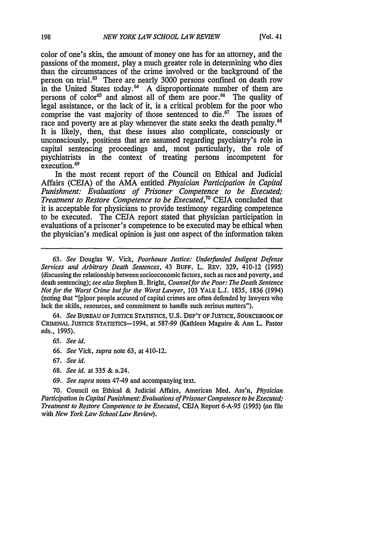color of one's skin, the amount of money one has for an attorney, and the passions of the moment, play a much greater role in determining who dies than the circumstances of the crime involved or the background of the person on trial.63 There are nearly 3000 persons confined on death row in the United States today. $^{64}$  A disproportionate number of them are persons of color<sup>65</sup> and almost all of them are poor.<sup>66</sup> The quality of legal assistance, or the lack of it, is a critical problem for the poor who comprise the vast majority of those sentenced to die. $67$  The issues of race and poverty are at play whenever the state seeks the death penalty.<sup>68</sup> It is likely, then, that these issues also complicate, consciously or unconsciously, positions that are assumed regarding psychiatry's role in capital sentencing proceedings and, most particularly, the role of psychiatrists in the context of treating persons incompetent for execution.<sup>69</sup>

In the most recent report of the Council on Ethical and Judicial Affairs (CEJA) of the AMA entitled *Physician Participation in Capital Punishment: Evaluations of Prisoner Competence to be Executed; Treatment to Restore Competence to be Executed,7 "* CEJA concluded that it is acceptable for physicians to provide testimony regarding competence to be executed. The CEJA report stated that physician participation in evaluations of a prisoner's competence to be executed may be ethical when the physician's medical opinion is just one aspect of the information taken

*64. See* BUREAU OF **JUSTICE** STATISTICS, U.S. DEP'T OF JUSTICE, SOURCEBOOK OF CRIMINAL JUSTICE STATISTICS-1994, at **587-99** (Kathleen Maguire & Ann L. Pastor eds., **1995).**

- **65.** *See id.*
- *66. See* Vick, *supra* note 63, at 410-12.
- 67. *See id.*
- *68. See id.* at 335 & n.24.
- 69. *See supra* notes 47-49 and accompanying text.

70. Council on Ethical & Judicial Affairs, American Med. Ass'n, *Physician Participation in Capital Punishment: Evaluations of Prisoner Competence to be Executed; Treatment to Restore Competence to be Executed,* CEJA Report 6-A-95 (1995) (on file with *New York Law School Law Review).*

<sup>63.</sup> *See* Douglas W. Vick, *Poorhouse Justice: Underfunded Indigent Defense Services and Arbitrary Death Sentences,* 43 BUFF. L. REV. 329, 410-12 (1995) (discussing the relationship between socioeconomic factors, such as race and poverty, and death sentencing); *see also* Stephen B. Bright, *Counselfor the Poor: The Death Sentence Not for the Worst Crime but for the Worst Lawyer,* 103 YALE L.J. 1835, 1836 (1994) (noting that "[p]oor people accused of capital crimes are often defended by lawyers who lack the skills, resources, and commitment to handle such serious matters").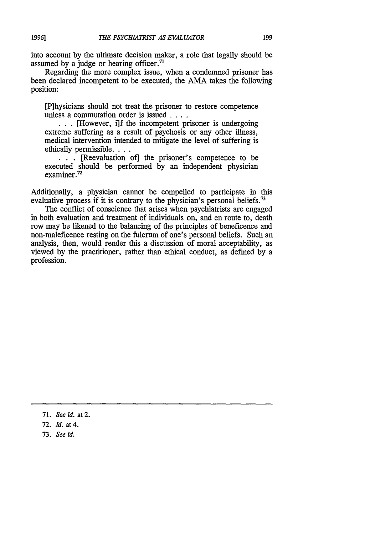into account **by** the ultimate decision maker, a role that legally should be assumed by a judge or hearing officer.<sup>71</sup>

Regarding the more complex issue, when a condemned prisoner has been declared incompetent to be executed, the AMA takes the following position:

[P]hysicians should not treat the prisoner to restore competence unless a commutation order is issued **....**

**.**. . [However, i]f the incompetent prisoner is undergoing extreme suffering as a result of psychosis or any other illness, medical intervention intended to mitigate the level of suffering is ethically permissible. . . .

**. . .** [Reevaluation of] the prisoner's competence to be executed should be performed by an independent physician examiner.<sup>72</sup>

Additionally, a physician cannot be compelled to participate in this evaluative process if it is contrary to the physician's personal beliefs.<sup>73</sup>

The conflict of conscience that arises when psychiatrists are engaged in both evaluation and treatment of individuals on, and en route to, death row may be likened to the balancing of the principles of beneficence and non-maleficence resting on the fulcrum of one's personal beliefs. Such an analysis, then, would render this a discussion of moral acceptability, as viewed by the practitioner, rather than ethical conduct, as defined by a profession.

71. *See id.* at2.

72. *Id.* at 4.

73. *See id.*